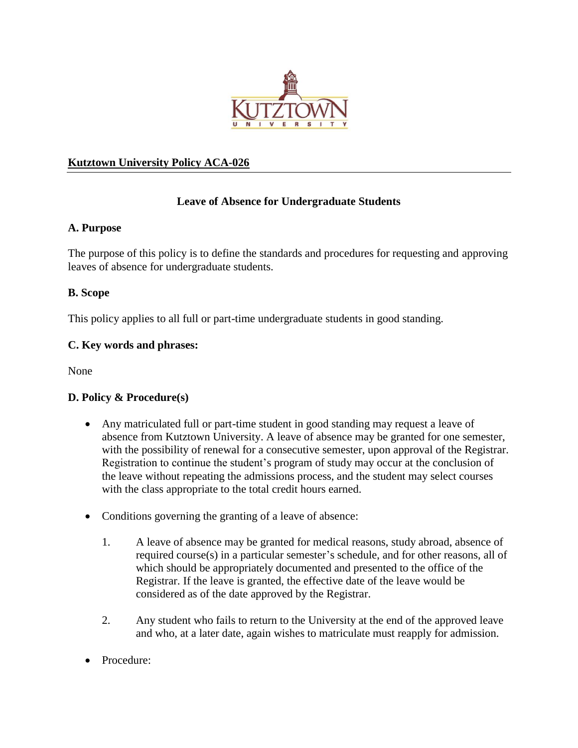

## **Kutztown University Policy ACA-026**

# **Leave of Absence for Undergraduate Students**

#### **A. Purpose**

The purpose of this policy is to define the standards and procedures for requesting and approving leaves of absence for undergraduate students.

## **B. Scope**

This policy applies to all full or part-time undergraduate students in good standing.

#### **C. Key words and phrases:**

None

#### **D. Policy & Procedure(s)**

- Any matriculated full or part-time student in good standing may request a leave of absence from Kutztown University. A leave of absence may be granted for one semester, with the possibility of renewal for a consecutive semester, upon approval of the Registrar. Registration to continue the student's program of study may occur at the conclusion of the leave without repeating the admissions process, and the student may select courses with the class appropriate to the total credit hours earned.
- Conditions governing the granting of a leave of absence:
	- 1. A leave of absence may be granted for medical reasons, study abroad, absence of required course(s) in a particular semester's schedule, and for other reasons, all of which should be appropriately documented and presented to the office of the Registrar. If the leave is granted, the effective date of the leave would be considered as of the date approved by the Registrar.
	- 2. Any student who fails to return to the University at the end of the approved leave and who, at a later date, again wishes to matriculate must reapply for admission.
- Procedure: